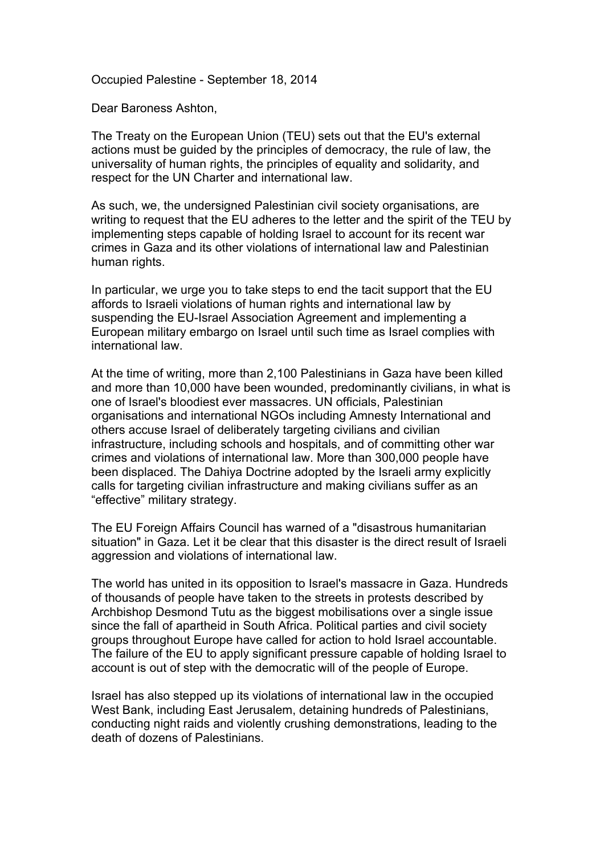Occupied Palestine - September 18, 2014

Dear Baroness Ashton,

The Treaty on the European Union (TEU) sets out that the EU's external actions must be guided by the principles of democracy, the rule of law, the universality of human rights, the principles of equality and solidarity, and respect for the UN Charter and international law.

As such, we, the undersigned Palestinian civil society organisations, are writing to request that the EU adheres to the letter and the spirit of the TEU by implementing steps capable of holding Israel to account for its recent war crimes in Gaza and its other violations of international law and Palestinian human rights.

In particular, we urge you to take steps to end the tacit support that the EU affords to Israeli violations of human rights and international law by suspending the EU-Israel Association Agreement and implementing a European military embargo on Israel until such time as Israel complies with international law.

At the time of writing, more than 2,100 Palestinians in Gaza have been killed and more than 10,000 have been wounded, predominantly civilians, in what is one of Israel's bloodiest ever massacres. UN officials, Palestinian organisations and international NGOs including Amnesty International and others accuse Israel of deliberately targeting civilians and civilian infrastructure, including schools and hospitals, and of committing other war crimes and violations of international law. More than 300,000 people have been displaced. The Dahiya Doctrine adopted by the Israeli army explicitly calls for targeting civilian infrastructure and making civilians suffer as an "effective" military strategy.

The EU Foreign Affairs Council has warned of a "disastrous humanitarian situation" in Gaza. Let it be clear that this disaster is the direct result of Israeli aggression and violations of international law.

The world has united in its opposition to Israel's massacre in Gaza. Hundreds of thousands of people have taken to the streets in protests described by Archbishop Desmond Tutu as the biggest mobilisations over a single issue since the fall of apartheid in South Africa. Political parties and civil society groups throughout Europe have called for action to hold Israel accountable. The failure of the EU to apply significant pressure capable of holding Israel to account is out of step with the democratic will of the people of Europe.

Israel has also stepped up its violations of international law in the occupied West Bank, including East Jerusalem, detaining hundreds of Palestinians, conducting night raids and violently crushing demonstrations, leading to the death of dozens of Palestinians.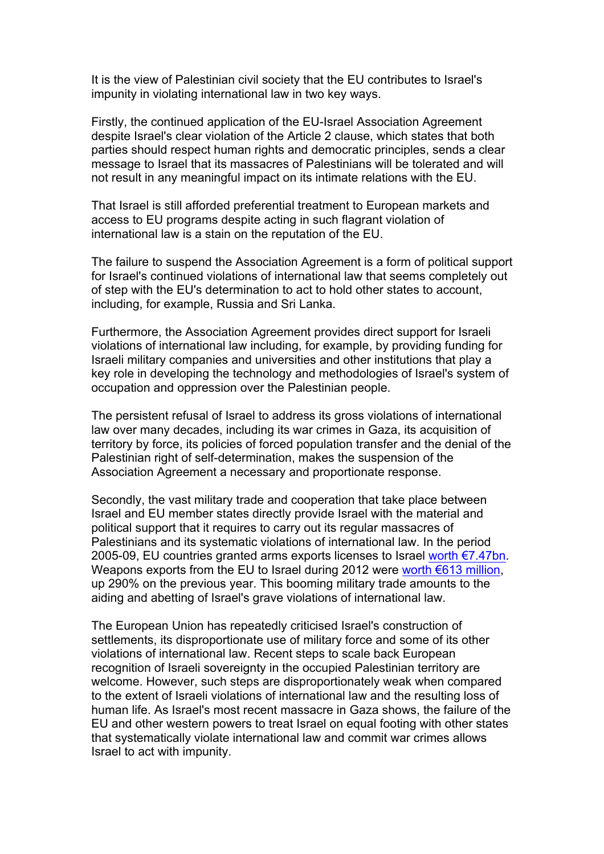It is the view of Palestinian civil society that the EU contributes to Israel's impunity in violating international law in two key ways.

Firstly, the continued application of the EU-Israel Association Agreement despite Israel's clear violation of the Article 2 clause, which states that both parties should respect human rights and democratic principles, sends a clear message to Israel that its massacres of Palestinians will be tolerated and will not result in any meaningful impact on its intimate relations with the EU.

That Israel is still afforded preferential treatment to European markets and access to EU programs despite acting in such flagrant violation of international law is a stain on the reputation of the EU.

The failure to suspend the Association Agreement is a form of political support for Israel's continued violations of international law that seems completely out of step with the EU's determination to act to hold other states to account, including, for example, Russia and Sri Lanka.

Furthermore, the Association Agreement provides direct support for Israeli violations of international law including, for example, by providing funding for Israeli military companies and universities and other institutions that play a key role in developing the technology and methodologies of Israel's system of occupation and oppression over the Palestinian people.

The persistent refusal of Israel to address its gross violations of international law over many decades, including its war crimes in Gaza, its acquisition of territory by force, its policies of forced population transfer and the denial of the Palestinian right of self-determination, makes the suspension of the Association Agreement a necessary and proportionate response.

Secondly, the vast military trade and cooperation that take place between Israel and EU member states directly provide Israel with the material and political support that it requires to carry out its regular massacres of Palestinians and its systematic violations of international law. In the period 2005-09, EU countries granted arms exports licenses to Israel worth €7.47bn. Weapons exports from the EU to Israel during 2012 were worth €613 million, up 290% on the previous year. This booming military trade amounts to the aiding and abetting of Israel's grave violations of international law.

The European Union has repeatedly criticised Israel's construction of settlements, its disproportionate use of military force and some of its other violations of international law. Recent steps to scale back European recognition of Israeli sovereignty in the occupied Palestinian territory are welcome. However, such steps are disproportionately weak when compared to the extent of Israeli violations of international law and the resulting loss of human life. As Israel's most recent massacre in Gaza shows, the failure of the EU and other western powers to treat Israel on equal footing with other states that systematically violate international law and commit war crimes allows Israel to act with impunity.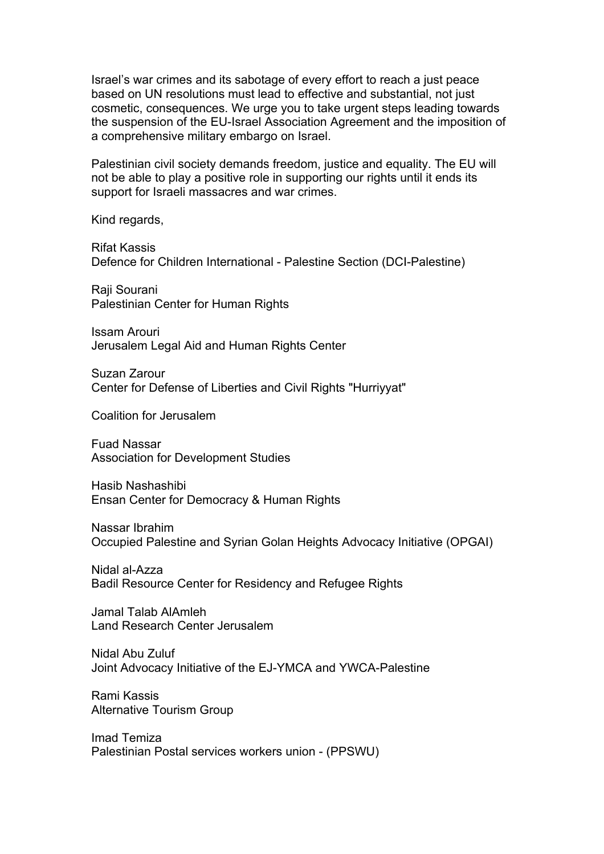Israel's war crimes and its sabotage of every effort to reach a just peace based on UN resolutions must lead to effective and substantial, not just cosmetic, consequences. We urge you to take urgent steps leading towards the suspension of the EU-Israel Association Agreement and the imposition of a comprehensive military embargo on Israel.

Palestinian civil society demands freedom, justice and equality. The EU will not be able to play a positive role in supporting our rights until it ends its support for Israeli massacres and war crimes.

Kind regards,

Rifat Kassis Defence for Children International - Palestine Section (DCI-Palestine)

Raji Sourani Palestinian Center for Human Rights

Issam Arouri Jerusalem Legal Aid and Human Rights Center

Suzan Zarour Center for Defense of Liberties and Civil Rights "Hurriyyat"

Coalition for Jerusalem

Fuad Nassar Association for Development Studies

Hasib Nashashibi Ensan Center for Democracy & Human Rights

Nassar Ibrahim Occupied Palestine and Syrian Golan Heights Advocacy Initiative (OPGAI)

Nidal al-Azza Badil Resource Center for Residency and Refugee Rights

Jamal Talab AlAmleh Land Research Center Jerusalem

Nidal Abu Zuluf Joint Advocacy Initiative of the EJ-YMCA and YWCA-Palestine

Rami Kassis Alternative Tourism Group

Imad Temiza Palestinian Postal services workers union - (PPSWU)